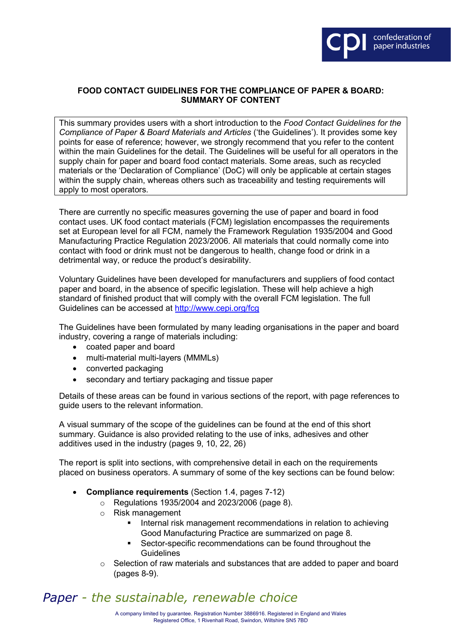

## **FOOD CONTACT GUIDELINES FOR THE COMPLIANCE OF PAPER & BOARD: SUMMARY OF CONTENT**

This summary provides users with a short introduction to the *Food Contact Guidelines for the Compliance of Paper & Board Materials and Articles* ('the Guidelines'). It provides some key points for ease of reference; however, we strongly recommend that you refer to the content within the main Guidelines for the detail. The Guidelines will be useful for all operators in the supply chain for paper and board food contact materials. Some areas, such as recycled materials or the 'Declaration of Compliance' (DoC) will only be applicable at certain stages within the supply chain, whereas others such as traceability and testing requirements will apply to most operators.

There are currently no specific measures governing the use of paper and board in food contact uses. UK food contact materials (FCM) legislation encompasses the requirements set at European level for all FCM, namely the Framework Regulation 1935/2004 and Good Manufacturing Practice Regulation 2023/2006. All materials that could normally come into contact with food or drink must not be dangerous to health, change food or drink in a detrimental way, or reduce the product's desirability.

Voluntary Guidelines have been developed for manufacturers and suppliers of food contact paper and board, in the absence of specific legislation. These will help achieve a high standard of finished product that will comply with the overall FCM legislation. The full Guidelines can be accessed at<http://www.cepi.org/fcg>

The Guidelines have been formulated by many leading organisations in the paper and board industry, covering a range of materials including:

- coated paper and board
- multi-material multi-layers (MMMLs)
- converted packaging
- secondary and tertiary packaging and tissue paper

Details of these areas can be found in various sections of the report, with page references to guide users to the relevant information.

A visual summary of the scope of the guidelines can be found at the end of this short summary. Guidance is also provided relating to the use of inks, adhesives and other additives used in the industry (pages 9, 10, 22, 26)

The report is split into sections, with comprehensive detail in each on the requirements placed on business operators. A summary of some of the key sections can be found below:

- **Compliance requirements** (Section 1.4, pages 7-12)
	- o Regulations 1935/2004 and 2023/2006 (page 8).
	- o Risk management
		- **IF Internal risk management recommendations in relation to achieving** Good Manufacturing Practice are summarized on page 8.
		- Sector-specific recommendations can be found throughout the **Guidelines**
	- $\circ$  Selection of raw materials and substances that are added to paper and board (pages 8-9).

## *Paper - the sustainable, renewable choice*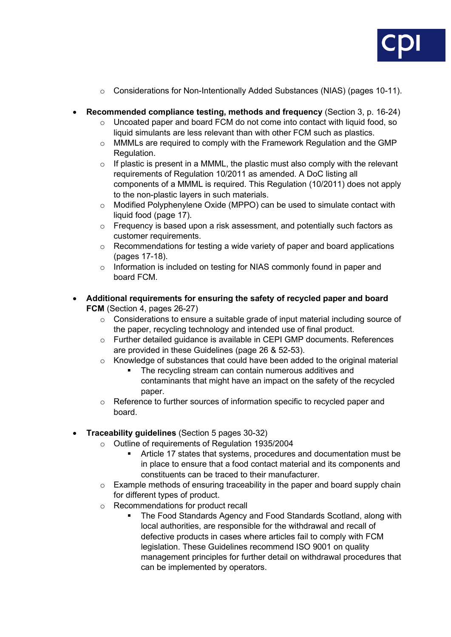

- $\circ$  Considerations for Non-Intentionally Added Substances (NIAS) (pages 10-11).
- **Recommended compliance testing, methods and frequency** (Section 3, p. 16-24)
	- $\circ$  Uncoated paper and board FCM do not come into contact with liquid food, so liquid simulants are less relevant than with other FCM such as plastics.
	- o MMMLs are required to comply with the Framework Regulation and the GMP Regulation.
	- $\circ$  If plastic is present in a MMML, the plastic must also comply with the relevant requirements of Regulation 10/2011 as amended. A DoC listing all components of a MMML is required. This Regulation (10/2011) does not apply to the non-plastic layers in such materials.
	- $\circ$  Modified Polyphenylene Oxide (MPPO) can be used to simulate contact with liquid food (page 17).
	- o Frequency is based upon a risk assessment, and potentially such factors as customer requirements.
	- $\circ$  Recommendations for testing a wide variety of paper and board applications (pages 17-18).
	- o Information is included on testing for NIAS commonly found in paper and board FCM.
- **Additional requirements for ensuring the safety of recycled paper and board FCM** (Section 4, pages 26-27)
	- o Considerations to ensure a suitable grade of input material including source of the paper, recycling technology and intended use of final product.
	- o Further detailed guidance is available in CEPI GMP documents. References are provided in these Guidelines (page 26 & 52-53).
	- $\circ$  Knowledge of substances that could have been added to the original material
		- The recycling stream can contain numerous additives and contaminants that might have an impact on the safety of the recycled paper.
	- $\circ$  Reference to further sources of information specific to recycled paper and board.
- **Traceability guidelines** (Section 5 pages 30-32)
	- o Outline of requirements of Regulation 1935/2004<br>Article 17 states that systems, procedures
		- Article 17 states that systems, procedures and documentation must be in place to ensure that a food contact material and its components and constituents can be traced to their manufacturer.
	- $\circ$  Example methods of ensuring traceability in the paper and board supply chain for different types of product.
	- o Recommendations for product recall
		- **The Food Standards Agency and Food Standards Scotland, along with** local authorities, are responsible for the withdrawal and recall of defective products in cases where articles fail to comply with FCM legislation. These Guidelines recommend ISO 9001 on quality management principles for further detail on withdrawal procedures that can be implemented by operators.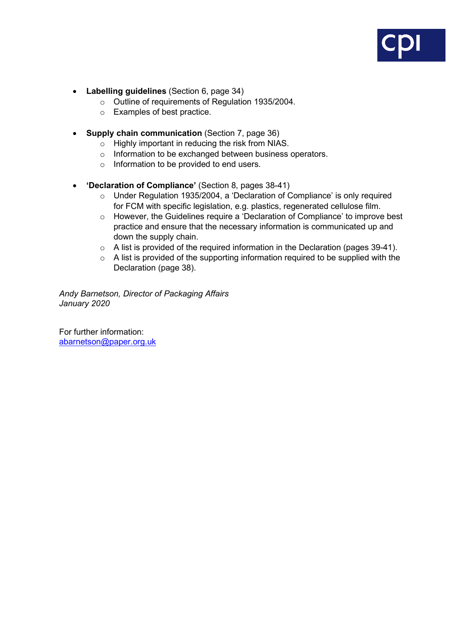

- **Labelling guidelines** (Section 6, page 34)
	- o Outline of requirements of Regulation 1935/2004.
	- o Examples of best practice.
- **Supply chain communication** (Section 7, page 36)
	- o Highly important in reducing the risk from NIAS.
	- o Information to be exchanged between business operators.
	- o Information to be provided to end users.
- **'Declaration of Compliance'** (Section 8, pages 38-41)
	- o Under Regulation 1935/2004, a 'Declaration of Compliance' is only required for FCM with specific legislation, e.g. plastics, regenerated cellulose film.
	- o However, the Guidelines require a 'Declaration of Compliance' to improve best practice and ensure that the necessary information is communicated up and down the supply chain.
	- o A list is provided of the required information in the Declaration (pages 39-41).
	- o A list is provided of the supporting information required to be supplied with the Declaration (page 38).

*Andy Barnetson, Director of Packaging Affairs January 2020*

For further information: [abarnetson@paper.org.uk](mailto:abarnetson@paper.org.uk)